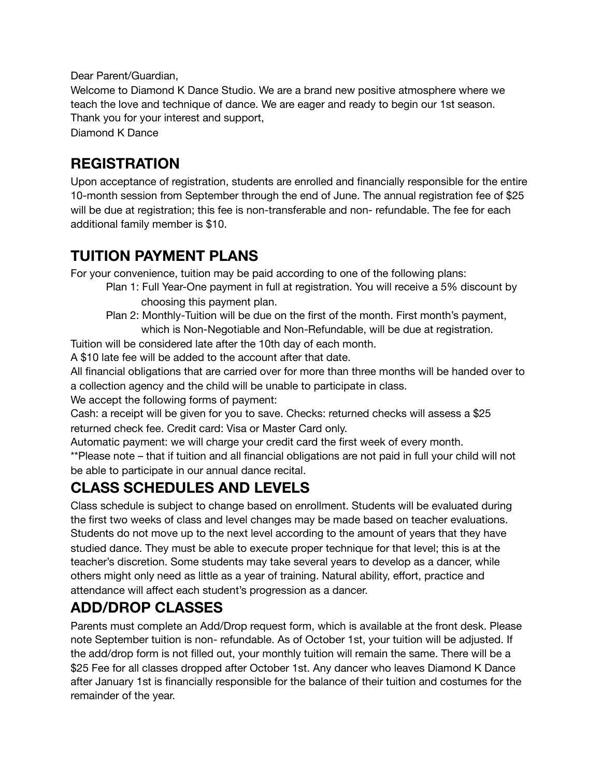Dear Parent/Guardian,

Welcome to Diamond K Dance Studio. We are a brand new positive atmosphere where we teach the love and technique of dance. We are eager and ready to begin our 1st season. Thank you for your interest and support,

Diamond K Dance

#### **REGISTRATION**

Upon acceptance of registration, students are enrolled and financially responsible for the entire 10-month session from September through the end of June. The annual registration fee of \$25 will be due at registration; this fee is non-transferable and non- refundable. The fee for each additional family member is \$10.

#### **TUITION PAYMENT PLANS**

For your convenience, tuition may be paid according to one of the following plans:

- Plan 1: Full Year-One payment in full at registration. You will receive a 5% discount by choosing this payment plan.
- Plan 2: Monthly-Tuition will be due on the first of the month. First month's payment, which is Non-Negotiable and Non-Refundable, will be due at registration.

Tuition will be considered late after the 10th day of each month.

A \$10 late fee will be added to the account after that date.

All financial obligations that are carried over for more than three months will be handed over to a collection agency and the child will be unable to participate in class.

We accept the following forms of payment:

Cash: a receipt will be given for you to save. Checks: returned checks will assess a \$25 returned check fee. Credit card: Visa or Master Card only.

Automatic payment: we will charge your credit card the first week of every month.

\*\*Please note – that if tuition and all financial obligations are not paid in full your child will not be able to participate in our annual dance recital.

## **CLASS SCHEDULES AND LEVELS**

Class schedule is subject to change based on enrollment. Students will be evaluated during the first two weeks of class and level changes may be made based on teacher evaluations. Students do not move up to the next level according to the amount of years that they have studied dance. They must be able to execute proper technique for that level; this is at the teacher's discretion. Some students may take several years to develop as a dancer, while others might only need as little as a year of training. Natural ability, effort, practice and attendance will affect each student's progression as a dancer.

### **ADD/DROP CLASSES**

Parents must complete an Add/Drop request form, which is available at the front desk. Please note September tuition is non- refundable. As of October 1st, your tuition will be adjusted. If the add/drop form is not filled out, your monthly tuition will remain the same. There will be a \$25 Fee for all classes dropped after October 1st. Any dancer who leaves Diamond K Dance after January 1st is financially responsible for the balance of their tuition and costumes for the remainder of the year.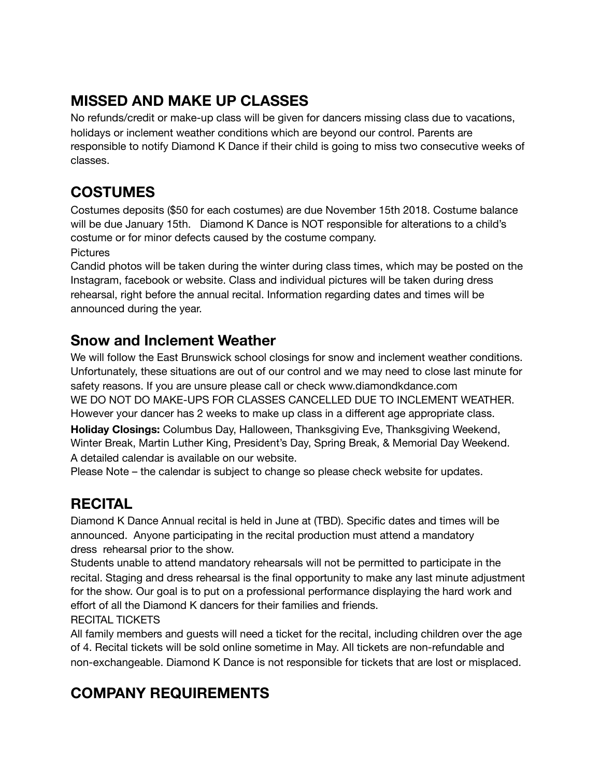## **MISSED AND MAKE UP CLASSES**

No refunds/credit or make-up class will be given for dancers missing class due to vacations, holidays or inclement weather conditions which are beyond our control. Parents are responsible to notify Diamond K Dance if their child is going to miss two consecutive weeks of classes.

### **COSTUMES**

Costumes deposits (\$50 for each costumes) are due November 15th 2018. Costume balance will be due January 15th. Diamond K Dance is NOT responsible for alterations to a child's costume or for minor defects caused by the costume company.

**Pictures** 

Candid photos will be taken during the winter during class times, which may be posted on the Instagram, facebook or website. Class and individual pictures will be taken during dress rehearsal, right before the annual recital. Information regarding dates and times will be announced during the year.

### **Snow and Inclement Weather**

We will follow the East Brunswick school closings for snow and inclement weather conditions. Unfortunately, these situations are out of our control and we may need to close last minute for safety reasons. If you are unsure please call or check www.diamondkdance.com WE DO NOT DO MAKE-UPS FOR CLASSES CANCELLED DUE TO INCLEMENT WEATHER. However your dancer has 2 weeks to make up class in a different age appropriate class. **Holiday Closings:** Columbus Day, Halloween, Thanksgiving Eve, Thanksgiving Weekend, Winter Break, Martin Luther King, President's Day, Spring Break, & Memorial Day Weekend. A detailed calendar is available on our website.

Please Note – the calendar is subject to change so please check website for updates.

## **RECITAL**

Diamond K Dance Annual recital is held in June at (TBD). Specific dates and times will be announced. Anyone participating in the recital production must attend a mandatory dress rehearsal prior to the show.

Students unable to attend mandatory rehearsals will not be permitted to participate in the recital. Staging and dress rehearsal is the final opportunity to make any last minute adjustment for the show. Our goal is to put on a professional performance displaying the hard work and effort of all the Diamond K dancers for their families and friends.

RECITAL TICKETS

All family members and guests will need a ticket for the recital, including children over the age of 4. Recital tickets will be sold online sometime in May. All tickets are non-refundable and non-exchangeable. Diamond K Dance is not responsible for tickets that are lost or misplaced.

# **COMPANY REQUIREMENTS**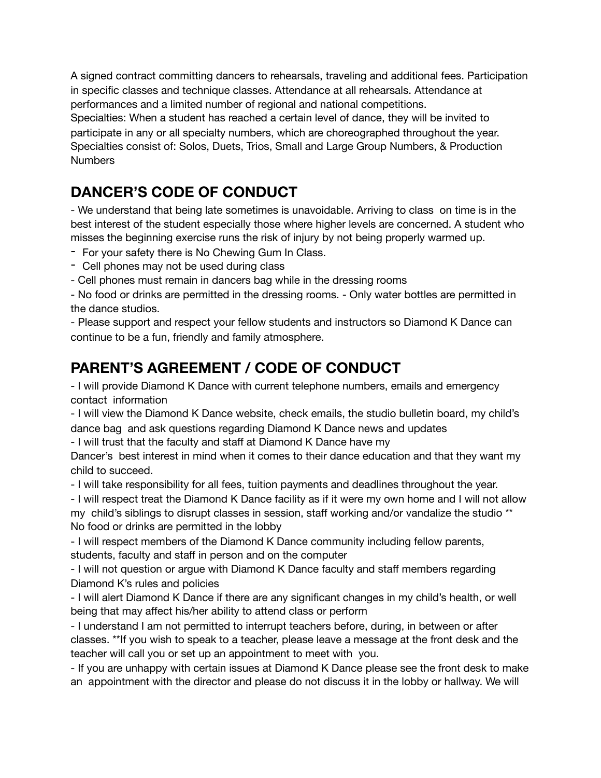A signed contract committing dancers to rehearsals, traveling and additional fees. Participation in specific classes and technique classes. Attendance at all rehearsals. Attendance at performances and a limited number of regional and national competitions.

Specialties: When a student has reached a certain level of dance, they will be invited to participate in any or all specialty numbers, which are choreographed throughout the year. Specialties consist of: Solos, Duets, Trios, Small and Large Group Numbers, & Production **Numbers** 

## **DANCER'S CODE OF CONDUCT**

- We understand that being late sometimes is unavoidable. Arriving to class on time is in the best interest of the student especially those where higher levels are concerned. A student who misses the beginning exercise runs the risk of injury by not being properly warmed up.

- For your safety there is No Chewing Gum In Class.
- Cell phones may not be used during class
- Cell phones must remain in dancers bag while in the dressing rooms

- No food or drinks are permitted in the dressing rooms. - Only water bottles are permitted in the dance studios.

- Please support and respect your fellow students and instructors so Diamond K Dance can continue to be a fun, friendly and family atmosphere.

## **PARENT'S AGREEMENT / CODE OF CONDUCT**

- I will provide Diamond K Dance with current telephone numbers, emails and emergency contact information

- I will view the Diamond K Dance website, check emails, the studio bulletin board, my child's dance bag and ask questions regarding Diamond K Dance news and updates

- I will trust that the faculty and staff at Diamond K Dance have my

Dancer's best interest in mind when it comes to their dance education and that they want my child to succeed.

- I will take responsibility for all fees, tuition payments and deadlines throughout the year.

- I will respect treat the Diamond K Dance facility as if it were my own home and I will not allow my child's siblings to disrupt classes in session, staff working and/or vandalize the studio \*\* No food or drinks are permitted in the lobby

- I will respect members of the Diamond K Dance community including fellow parents, students, faculty and staff in person and on the computer

- I will not question or argue with Diamond K Dance faculty and staff members regarding Diamond K's rules and policies

- I will alert Diamond K Dance if there are any significant changes in my child's health, or well being that may affect his/her ability to attend class or perform

- I understand I am not permitted to interrupt teachers before, during, in between or after classes. \*\*If you wish to speak to a teacher, please leave a message at the front desk and the teacher will call you or set up an appointment to meet with you.

- If you are unhappy with certain issues at Diamond K Dance please see the front desk to make an appointment with the director and please do not discuss it in the lobby or hallway. We will